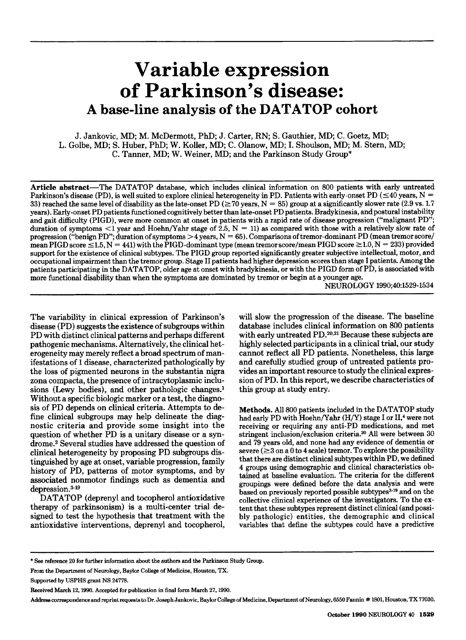# **Variable expression of Parkinson's disease: A base-line analysis of the DATATOP cohort**

J. Jankovic, MD; M. McDermott, PhD; **J.** Carter, RN; S. Gauthier, MD; C. Goetz, MD; L. Golbe, MD; S. Huber, PhD; W. Koller, MD; C. Olanow, MD; I. Shoulson, MD; M. Stern, MD; C. Tanner, MD; W. Weiner, MD; and the Parkinson Study Group\*

Article abstract-The DATATOP database, which includes clinical information on **800** patients with early untreated Parkinson's disease (PD), is well suited to explore clinical heterogeneity in PD. Patients with early-onset PD  $(\leq 40 \text{ years}, N =$ **33) reached the same level of disability as the late-onset PD**  $(\geq 70 \text{ years}, N = 85)$  **group at a significantly slower rate (2.9 vs. 1.7)** years). Early-onset PD patients functioned cognitively better than late-onset PD patients. Bradykinesia, and postural instability and gait difficulty (PIGD), were more common at onset in patients with a rapid rate of disease progression ("malignant PD"; duration of symptoms  $\leq 1$  year and Hoehn/Yahr stage of 2.5, N = 11) as compared with those with a relatively slow rate of progression ("benign PD"; duration of symptoms **>4** years, N = 65). Comparisons of tremor-dominant PD (mean tremor score/  $mean$  PIGD  $score \le 1.5$ ,  $N = 441$ ) with the PIGD-dominant type (mean tremor  $score/mean$  PIGD  $score \ge 1.0$ ,  $N = 233$ ) provided support for the existence of clinical subtypes. The PIGD group reported significantly greater subjective intellectual, motor, and occupational impairment than the tremor group. Stage I1 patients had higher depression scores than stage I patients. Among the patients participating in the DATATOP, older age at onset with bradykinesia, or with the PIGD form of PD, is associated with more functional disability than when the symptoms are dominated by tremor or begin at a younger age.

NEUROLOGY **1990;40:1529-1534** 

The variability in clinical expression of Parkinson's disease (PD) suggests the existence of subgroups within PD with distinct clinical patterns and perhaps different pathogenic mechanisms. Alternatively, the clinical heterogeneity may merely reflect a broad spectrum **of** manifestations of 1 disease, characterized pathologically by the loss **of** pigmented neurons in the substantia nigra zona cornpacta, the presence of intracytoplasmic inclusions (Lewy bodies), and other pathologic changes.<sup>1</sup> Without a specific biologic marker or a test, the diagnosis of PD depends on clinical criteria. Attempts to define clinical subgroups may help delineate the diagnostic criteria and provide some insight into the question of whether PD is a unitary disease or a syndrome.2 Several studies have addressed the question **of**  clinical heterogeneity by proposing PD subgroups distinguished by age at onset, variable progression, family history of PD, patterns of motor symptoms, and by associated nonmotor findings such as dementia and  $depression.<sup>3-19</sup>$ 

DATATOP (deprenyl and tocopherol antioxidative therapy **of** parkinsonism) is a multi-center trial designed to test the hypothesis that treatment with the antioxidative interventions, deprenyl and tocopherol, will slow the progression of the disease. The baseline database includes clinical information on 800 patients with early untreated  $PD$ .<sup>20,21</sup> Because these subjects are highly selected participants in a clinical trial, our study cannot reflect all PD patients. Nonetheless, this large and carefully studied group **of** untreated patients provides an important resource to study the clinical expression of PD. In this report, we describe characteristics **of**  this group at study entry.

Methods. All 800 patients included in the DATATOP study had early PD with Hoehn/Yahr (H/Y) stage I or II,<sup>4</sup> were not receiving or requiring any anti-PD medications, and met stringent inclusion/exclusion criteria.<sup>20</sup> All were between 30 and **79** years old, and none had any evidence of dementia or severe  $(\geq 3$  on a 0 to 4 scale) tremor. To explore the possibility that there are distinct clinical subtypes within PD, we defined **4** groups using demographic and clinical characteristics obtained at baseline evaluation. The criteria for the different groupings were defined before the data analysis and were based on previously reported possible subtypes<sup>3-19</sup> and on the collective clinical experience of the investigators. To the extent that these subtypes represent distinct clinical (and possibly pathologic) entities, the demographic and clinical variables that define the subtypes could have a predictive

Address correspondence and reprint requests to Dr. Joseph Jankovic, Baylor College of Medicine, Department of Neurology, 6550 Fannin # 1801, Houston, TX 77030.

<sup>\*</sup> See **reference 20 for further information about the authors and the Parkinson Study Group.** 

**From the Department of Neurology, Baylor College of Medicine, Houston,** TX.

**Supported by USPHS grant NS 24778.** 

**Received March 12,1990. Accepted for publication in final form March 27,1990.**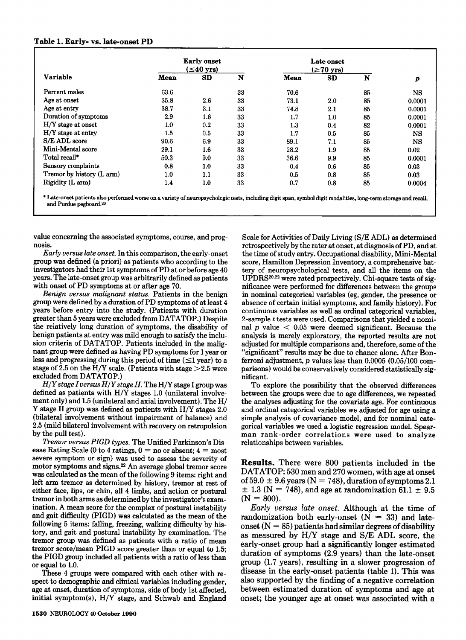#### **Table 1. Early- vs. late-onset PD**

I

| Variable                  |      | <b>Early onset</b><br>$\leq$ 40 yrs) |    | Late onset<br>$(\geq 70$ yrs) |     |    |                  |
|---------------------------|------|--------------------------------------|----|-------------------------------|-----|----|------------------|
|                           | Mean | SD                                   | N  | Mean                          | SD  | N  | $\boldsymbol{p}$ |
| Percent males             | 63.6 |                                      | 33 | 70.6                          |     | 85 | <b>NS</b>        |
| Age at onset              | 35.8 | 2.6                                  | 33 | 73.1                          | 2.0 | 85 | 0.0001           |
| Age at entry              | 38.7 | 3.1                                  | 33 | 74.8                          | 2.1 | 85 | 0.0001           |
| Duration of symptoms      | 2.9  | 1.6                                  | 33 | 1.7                           | 1.0 | 85 | 0.0001           |
| H/Y stage at onset        | 1.0  | 0.2                                  | 33 | 1.3                           | 0.4 | 82 | 0.0001           |
| H/Y stage at entry        | 1.5  | 0.5                                  | 33 | 1.7                           | 0.5 | 85 | <b>NS</b>        |
| S/E ADL score             | 90.6 | 6.9                                  | 33 | 89.1                          | 7.1 | 85 | NS.              |
| Mini-Mental score         | 29.1 | $1.6\,$                              | 33 | 28.2                          | 1.9 | 85 | 0.02             |
| Total recall*             | 50.3 | 9.0                                  | 33 | 36.6                          | 9.9 | 85 | 0.0001           |
| Sensory complaints        | 0.8  | 1.0                                  | 33 | 0.4                           | 0.6 | 85 | 0.03             |
| Tremor by history (L arm) | 1.0  | 1.1                                  | 33 | 0.5                           | 0.8 | 85 | 0.03             |
| Rigidity (L arm)          | 1.4  | 1.0                                  | 33 | 0.7                           | 0.8 | 85 | 0.0004           |

\* Late-onset patients **also** performed **worse** on a **variety** of neuropsycbologic **tests,** including digit span, symbol digit modalities, long-term **storage** and recall, and Purdue pegboard.<sup>20</sup>

value concerning the associated symptoms, course, and prognosis.

*Early versus late onset.* In this comparison, the early-onset group was defined (a priori) **as** patients who according to the investigators had their 1st symptoms of PD at or before age 40 years. The late-onset group was arbitrarily defined as patients with onset of PD symptoms at or after age 70.

*Benign versus malignunt status.* Patients in the benign group were defined by a duration of PD symptoms of at least **4**  years before entry into the study. (Patients with duration greater than 5 years were excluded from DATATOP.) Despite the relatively long duration of symptoms, the disability of benign patients at entry was mild enough to satisfy the inclusion criteria of DATATOP. Patients included in the malignant group were defined as having PD symptoms for 1 year or less and progressing during this period of time  $(\leq1$  year) to a stage of 2.5 on the H/Y scale. (Patients with stage  $>$  2.5 were excluded from DATATOP.)

*H/Y stage* I **versus** *HIY stage II.* The H/Y stage I group was defined as patients with H/Y stages 1.0 (unilateral involvement only) and 1.5 (unilateral and axial involvement). The H/ Y stage I1 group was defined **as** patients with H/Y stages 2.0 (bilateral involvement without impairment of balance) and 2.5 (mild bilateral involvement with recovery on retropulsion by the pull test).

*Tremor versus* PIGD *types.* The Unified Parkinson's Disease Rating Scale (0 to 4 ratings,  $0 =$  no or absent;  $4 =$  most severe symptom or sign) was used to assess the severity of motor symptoms and signs.2z An average global tremor score was calculated as the mean of the following 9 items: right and left arm tremor as determined by history, tremor at rest of either face, lips, or chin, all **4** limbs, and action or postural tremor in both arms as determined by the investigator's examination. A mean score for the complex of postural instability and gait difficulty (PIGD) was calculated as the mean of the following 5 items: falling, freezing, walking difficulty by his*tory,* and gait and postural instability by examination. The tremor group was defined as patients with a ratio of mean tremor score/mean PIGD score greater than or equal to 1.5; the PIGD group included all patients with a ratio of less than or equal to 1.0.

These **4** groups were compared with each other with respect to demographic and clinical variables including gender, age at onset, duration of symptoms, side of body 1st affected, initial symptom(s), H/Y stage, and Schwab and England

score, Hamilton Depression Inventory, a comprehensive battery of neuropsychological tests, and all the items on the UPDRS<sup>20,22</sup> were rated prospectively. Chi-square tests of significance were performed for differences between the groups in nominal categorical variables (eg, gender, the presence or absence of certain initial symptoms, and family history). For continuous variables as well as ordinal categorical variables, 2-sample *t* tests were used. Comparisons that yielded a nominal  $p$  value  $\lt$  0.05 were deemed significant. Because the analysis is merely exploratory, the reported results are not adjusted for multiple comparisons and, therefore, some of the "significant" results may be due to chance alone. After Bonferroni adjustment, *p* values less than 0.0005 (0.05/100 comparisons) would be conservatively considered statistically significant. To explore the possibility that the observed differences

Scale for Activities of Daily Living **(S/E** ADL) as determined retrospectively by the rater at onset, at diagnosis of PD, and at the time of study entry. Occupational disability, Mini-Mental

between the groups were due to age differences, we repeated the analyses adjusting for the covariate age. For continuous and ordinal categorical variables we adjusted for age using a simple analysis of covariance model, and for nominal categorical variables we used a logistic regression model. Spearman rank-order correlations were used to analyze relationships between variables.

Results. There were 800 patients included in the DATATOP: 530 men and 270 women, with age at onset of 59.0  $\pm$  9.6 years (N = 748), duration of symptoms 2.1  $\pm$  1.3 (N = 748), and age at randomization 61.1  $\pm$  9.5  $(N = 800)$ .

*Early versus* late onset. Although at the time of randomization both early-onset  $(N = 33)$  and lateonset  $(N = 85)$  patients had similar degrees of disability as measured by H/Y stage and S/E ADL score, the early-onset group had a significantly longer estimated duration of symptoms (2.9 years) than the late-onset group (1.7 years), resulting in a slower progression of disease in the early-onset patients (table 1). This was also supported by the finding of a negative correlation between estimated duration of symptoms and age at onset; the younger age at onset was associated with a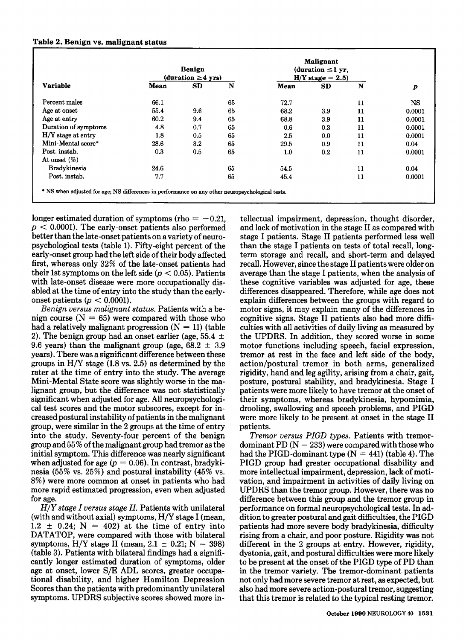| Variable             | Benign<br>(duration $\geq 4$ yrs) |     |    | <b>Malignant</b><br>(duration $\leq$ 1 yr,<br>$H/Y$ stage = 2.5) |     |    |        |
|----------------------|-----------------------------------|-----|----|------------------------------------------------------------------|-----|----|--------|
|                      | Mean                              | SD  | N  | Mean                                                             | SD  | N  | p      |
| Percent males        | 66.1                              |     | 65 | 72.7                                                             |     | 11 | NS     |
| Age at onset         | 55.4                              | 9.6 | 65 | 68.2                                                             | 3.9 | 11 | 0.0001 |
| Age at entry         | 60.2                              | 9.4 | 65 | 68.8                                                             | 3.9 | 11 | 0.0001 |
| Duration of symptoms | 4.8                               | 0.7 | 65 | 0.6                                                              | 0.3 | 11 | 0.0001 |
| $H/Y$ stage at entry | 1.8                               | 0.5 | 65 | 2.5                                                              | 0.0 | 11 | 0.0001 |
| Mini-Mental score*   | 28.6                              | 3.2 | 65 | 29.5                                                             | 0.9 | 11 | 0.04   |
| Post. instab.        | 0.3                               | 0.5 | 65 | 1.0                                                              | 0.2 | 11 | 0.0001 |
| At onset $(\%)$      |                                   |     |    |                                                                  |     |    |        |
| <b>Bradykinesia</b>  | 24.6                              |     | 65 | 54.5                                                             |     | 11 | 0.04   |
| Post. instab.        | 7.7                               |     | 65 | 45.4                                                             |     | 11 | 0.0001 |

longer estimated duration of symptoms (rho  $= -0.21$ ,  $p < 0.0001$ ). The early-onset patients also performed better than the late-onset patients on avariety of neuropsychological tests (table 1). Fifty-eight percent of the early-onset group had the left side of their body affected first, whereas only 32% of the late-onset patients had their 1st symptoms on the left side ( $p < 0.05$ ). Patients with late-onset disease were more occupationally disabled at the time of entry into the study than the earlyonset patients ( $p < 0.0001$ ).

*Benign uersus mulignant status.* Patients with a benign course  $(N = 65)$  were compared with those who had a relatively malignant progression  $(N = 11)$  (table 2). The benign group had an onset earlier (age,  $55.4 \pm$ 9.6 years) than the malignant group (age,  $68.2 \pm 3.9$ years). There was a significant difference between these groups in H/Y stage (1.8 vs. 2.5) as determined by the rater at the time of entry into the study. The average Mini-Mental State score was slightly worse in the **ma**lignant group, but the difference was not statistically significant when adjusted for age. All neuropsychological test scores and the motor subscores, except for increased postural instability of patients in the malignant group, were similar in the 2 groups at the time of entry into the study. Seventy-four percent **of** the benign group and *55%* of the malignant group had tremor as the initial symptom. This difference was nearly significant when adjusted for age  $(p = 0.06)$ . In contrast, bradykinesia (55% vs. 25%) and postural instability (45% vs. 8%) were more common at onset in patients who had more rapid estimated progression, even when adjusted for age.

*H/Y stage I uersus stage II.* Patients with unilateral (with and without axial) symptoms, H/Y stage I (mean,  $1.2 \pm 0.24$ ; N = 402) at the time of entry into DATATOP, were compared with those with bilateral symptoms, H/Y stage II (mean,  $2.1 \pm 0.21$ ; N = 398) (table 3). Patients with bilateral findings had a significantly longer estimated duration of symptoms, older age at onset, lower S/E ADL scores, greater occupational disability, and higher Hamilton Depression Scores than the patients with predominantly unilateral symptoms. UPDRS subjective scores showed more in-

tellectual impairment, depression, thought disorder, and lack of motivation in the stage I1 as compared with stage I patients. Stage I1 patients performed less well than the stage I patients on tests of total recall, longterm storage and recall, and short-term and delayed recall. However, since the stage I1 patients were older on average than the stage **I** patients, when the analysis of these cognitive variables was adjusted for age, these differences disappeared. Therefore, while age does not explain differences between the groups with regard to motor signs, it may explain many of the differences in cognitive signs. Stage I1 patients also had more difficulties with all activities of daily living as measured by the UPDRS. In addition, they scored worse in some motor functions including speech, facial expression, tremor at rest in the face and left side of the body, action/postural tremor in both arms, generalized rigidity, hand and leg agility, arising from a chair, gait, posture, postural stability, and bradykinesia. Stage I patients were more likely to have tremor at the onset of their symptoms, whereas bradykinesia, hypomimia, drooling, swallowing and speech problems, and PIGD were more likely to be present at onset in the stage I1 patients.

*Tremor uersus PIGD types.* Patients with tremordominant PD  $(N = 233)$  were compared with those who had the PIGD-dominant type  $(N = 441)$  (table 4). The PIGD group had greater occupational disability and more intellectual impairment, depression, lack of motivation, and impairment in activities of daily living on UPDRS than the tremor group. However, there was no difference between this group and the tremor group in performance on formal neuropsychological tests. In addition to greater postural and gait difficulties, the PIGD patients had more severe body bradykinesia, difficulty rising from a chair, and poor posture. Rigidity was not different in the 2 groups at entry. However, rigidity, dystonia, gait, and postural difficulties were more likely to be present at the onset of the PIGD type of PD than in the tremor variety. The tremor-dominant patients not only had more severe tremor at rest, as expected, but also had more severe action-postural tremor, suggesting that this tremor **is** related to the typical resting tremor.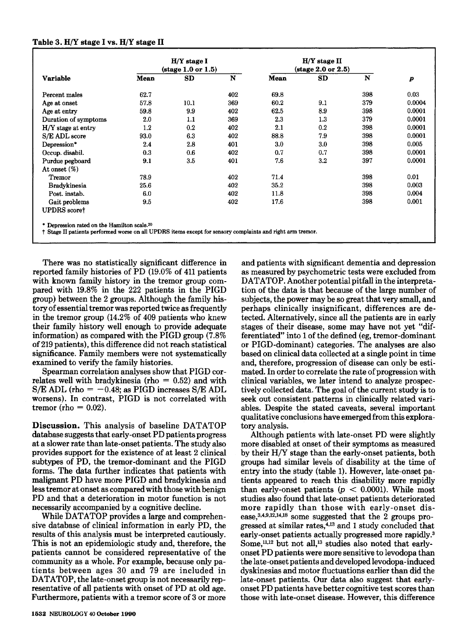# **Table 3. H/Y** stage **I vs. H/Y** stage **I1**

| <b>Variable</b>      |         | $H/Y$ stage $I$                       |     |             | $H/Y$ stage II                        |             |                  |  |
|----------------------|---------|---------------------------------------|-----|-------------|---------------------------------------|-------------|------------------|--|
|                      |         | $(\text{stage } 1.0 \text{ or } 1.5)$ |     |             | $(\text{stage } 2.0 \text{ or } 2.5)$ |             |                  |  |
|                      | Mean    | SD                                    | N   | <b>Mean</b> | SD                                    | $\mathbf N$ | $\boldsymbol{p}$ |  |
| Percent males        | 62.7    |                                       | 402 | 69.8        |                                       | 398         | 0.03             |  |
| Age at onset         | 57.8    | 10.1                                  | 369 | 60.2        | 9.1                                   | 379         | 0.0004           |  |
| Age at entry         | 59.8    | 9.9                                   | 402 | 62.5        | 8.9                                   | 398         | 0.0001           |  |
| Duration of symptoms | 2.0     | 1.1                                   | 369 | 2.3         | 1.3                                   | 379         | 0.0001           |  |
| H/Y stage at entry   | $1.2\,$ | 0.2                                   | 402 | 2.1         | 0.2                                   | 398         | 0.0001           |  |
| S/E ADL score        | 93.0    | 6.3                                   | 402 | 88.8        | 7.9                                   | 398         | 0.0001           |  |
| Depression*          | 2.4     | 2.8                                   | 401 | 3.0         | 3.0                                   | 398         | 0.005            |  |
| Occup. disabil.      | 0.3     | 0.6                                   | 402 | 0.7         | 0.7                                   | 398         | 0.0001           |  |
| Purdue pegboard      | 9.1     | $3.5\,$                               | 401 | 7.6         | 3.2                                   | 397         | 0.0001           |  |
| At onset $(\%)$      |         |                                       |     |             |                                       |             |                  |  |
| Tremor               | 78.9    |                                       | 402 | 71.4        |                                       | 398         | 0.01             |  |
| <b>Bradykinesia</b>  | 25.6    |                                       | 402 | 35.2        |                                       | 398         | 0.003            |  |
| Post. instab.        | 6.0     |                                       | 402 | 11.8        |                                       | 398         | 0.004            |  |
| Gait problems        | 9.5     |                                       | 402 | 17.6        |                                       | 398         | 0.001            |  |
| <b>UPDRS</b> scoret  |         |                                       |     |             |                                       |             |                  |  |

t **Stage I1 patients performed worse on all UPDRS item except for sensory complaints and right** arm **tremor.** 

There was no statistically significant difference in reported family histories of PD (19.0% of 411 patients with known family history in the tremor group compared with 19.8% in the 222 patients in the PIGD group) between the **2** groups. Although the family history of essential tremor was reported twice as frequently in the tremor group (14.2% of 409 patients who knew their family history well enough to provide adequate information) as compared with the PIGD group (7.8% of 219 patients), this difference did not reach statistical significance. Family members were not systematically examined to verify the family histories.

Spearman correlation analyses show that PIGD correlates well with bradykinesia (rho  $= 0.52$ ) and with  $S/E ADL$  (rho = -0.48; as PIGD increases  $S/E ADL$ worsens). In contrast, PIGD is not correlated with tremor (rho  $= 0.02$ ).

**Discussion.** This analysis of baseline DATATOP database suggests that early-onset PD patients progress at a slower rate than late-onset patients. The study also provides support for the existence of at least 2 clinical subtypes of PD, the tremor-dominant and the PIGD forms. The **data** further indicates that patients with malignant PD have more PIGD and bradykinesia and less tremor at onset as compared with those with benign PD and that a deterioration in motor function is not necessarily accompanied by a cognitive decline.

While DATATOP provides a large and comprehensive database of clinical information in early PD, the results of this analysis must be interpreted cautiously. This is not an epidemiologic study and, therefore, the patients cannot be considered representative of the community as a whole. For example, because only patients between ages 30 and 79 are included in DATATOP, the late-onset group is not necessarily representative of all patients with onset of PD at old age. Furthermore, patients with a tremor score of **3** or more

and patients with significant dementia and depression as measured by psychometric tests were excluded from DATATOP. Another potential pitfall in the interpretation of the data is that because of the large number of subjects, the power may be so great that very small, and perhaps clinically insignificant, differences are detected. Alternatively, since all the patients are in early stages of their disease, some may have not yet "differentiated" into 1 of the defined (eg, tremor-dominant or PIGD-dominant) categories. The analyses are **also**  based on clinical data collected at a single point in time and, therefore, progression of disease can only be estimated. In order to correlate the rate of progression with clinical variables, we later intend to analyze prospectively collected data. The goal of the current study is to seek out consistent patterns in clinically related variables. Despite the stated caveats, several important qualitative conclusions have emerged from this exploratory analysis.

Although patients with late-onset PD were slightly more disabled at onset of their symptoms as measured by their H/Y stage than the early-onset patients, both groups had similar levels of disability at the time of entry into the study (table 1). However, late-onset patients appeared to reach this disability more rapidly than early-onset patients  $(p < 0.0001)$ . While most studies **also** found that late-onset patients deteriorated more rapidly than those with early-onset disease,  $3,4,9,12,14,18$  some suggested that the 2 groups progressed at similar rates,<sup>4,13</sup> and 1 study concluded that early-onset patients actually progressed more rapidly.3 Some,<sup>11,12</sup> but not all,<sup>13</sup> studies also noted that earlyonset PD patients were more sensitive to levodopa than the late-onset patients and developed levodopa-induced dyskinesias and motor fluctuations earlier than did the late-onset patients. Our data also suggest that earlyonset PD patients have better cognitive test scores than those with late-onset disease. However, this difference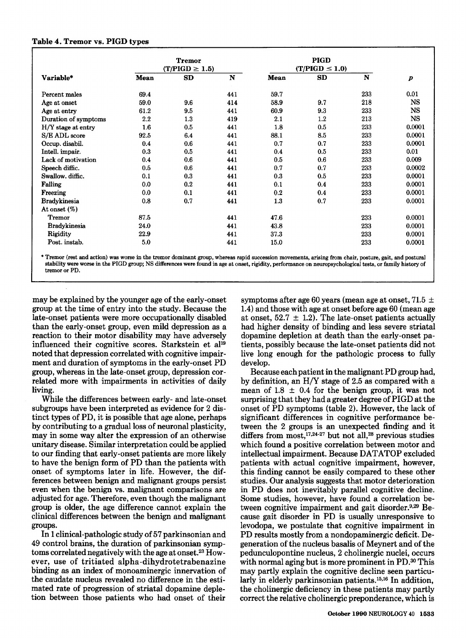## **Table 4. Tremor vs. PIGD types**

| Variable*            | <b>Tremor</b><br>$(T/PIGD \geq 1.5)$ |     |     | <b>PIGD</b><br>$(T/PIGD \leq 1.0)$ |     |     |                  |
|----------------------|--------------------------------------|-----|-----|------------------------------------|-----|-----|------------------|
|                      | <b>Mean</b>                          | SD  | N   | Mean                               | SD  | N   | $\boldsymbol{p}$ |
| Percent males        | 69.4                                 |     | 441 | 59.7                               |     | 233 | 0.01             |
| Age at onset         | 59.0                                 | 9.6 | 414 | 58.9                               | 9.7 | 218 | <b>NS</b>        |
| Age at entry         | 61.2                                 | 9.5 | 441 | 60.9                               | 9.3 | 233 | <b>NS</b>        |
| Duration of symptoms | 2.2                                  | 1.3 | 419 | 2.1                                | 1.2 | 213 | <b>NS</b>        |
| $H/Y$ stage at entry | 1.6                                  | 0.5 | 441 | 1.8                                | 0.5 | 233 | 0.0001           |
| S/E ADL score        | 92.5                                 | 6.4 | 441 | 88.1                               | 8.5 | 233 | 0.0001           |
| Occup. disabil.      | 0.4                                  | 0.6 | 441 | 0.7                                | 0.7 | 233 | 0.0001           |
| Intell. impair.      | 0.3                                  | 0.5 | 441 | 0.4                                | 0.5 | 233 | 0.01             |
| Lack of motivation   | 0.4                                  | 0.6 | 441 | 0.5                                | 0.6 | 233 | 0.009            |
| Speech diffic.       | 0.5                                  | 0.6 | 441 | 0.7                                | 0.7 | 233 | 0.0002           |
| Swallow. diffic.     | 0.1                                  | 0.3 | 441 | 0.3                                | 0.5 | 233 | 0.0001           |
| Falling              | 0.0                                  | 0.2 | 441 | 0.1                                | 0.4 | 233 | 0.0001           |
| <b>Freezing</b>      | 0.0                                  | 0.1 | 441 | 0.2                                | 0.4 | 233 | 0.0001           |
| <b>Bradykinesia</b>  | 0.8                                  | 0.7 | 441 | 1.3                                | 0.7 | 233 | 0.0001           |
| At onset $(\%)$      |                                      |     |     |                                    |     |     |                  |
| <b>Tremor</b>        | 87.5                                 |     | 441 | 47.6                               |     | 233 | 0.0001           |
| <b>Bradykinesia</b>  | 24.0                                 |     | 441 | 43.8                               |     | 233 | 0.0001           |
| Rigidity             | 22.9                                 |     | 441 | 37.3                               |     | 233 | 0.0001           |
| Post. instab.        | 5.0                                  |     | 441 | 15.0                               |     | 233 | 0.0001           |

\* Tremor (rest and action) was worse in the tremor dominant group, whereas rapid succession movements, arising from chair, posture, gait, and postural **stability were worse in the PIGD group; NS differences were found in** *age* **at onset, rigidity, performance on neuropsychological testa, or family history of tremor or PD.** 

may be explained by the younger age of the early-onset group at the time of entry into the study. Because the late-onset patients were more occupationally disabled than the early-onset group, even mild depression as a reaction to their motor disability may have adversely influenced their cognitive scores. Starkstein et **all9**  noted that depression correlated with cognitive impairment and duration of symptoms in the early-onset PD group, whereas in the late-onset group, depression correlated more with impairments in activities of daily living.

While the differences between early- and late-onset subgroups have been interpreted as evidence for 2 distinct types of PD, it is possible that age alone, perhaps by contributing to a gradual loss of neuronal plasticity, may in some way alter the expression of an otherwise unitary disease. Similar interpretation could be applied to our finding that early-onset patients are more likely to have the benign form of PD than the patients with onset **of** symptoms later in life. However, the differences between benign and malignant groups persist even when the benign vs. malignant comparisons are adjusted for age. Therefore, even though the malignant group is older, the age difference cannot explain the clinical differences between the benign and malignant groups.

In **1** clinical-pathologic study of **57** parkinsonian and **49** control brains, the duration **of** parkinsonian symptoms correlated negatively with the age at onset.23 However, use of tritiated **alpha-dihydrotetrabenazine**  binding as an index of monoaminergic innervation of the caudate nucleus revealed no difference in the estimated rate of progression of striatal dopamine depletion between those patients who had onset of their symptoms after age 60 years (mean age at onset, 71.5  $\pm$ 1.4) and those with age at onset before age 60 (mean age at onset,  $52.7 \pm 1.2$ ). The late-onset patients actually had higher density of binding and less severe striatal dopamine depletion at death than the early-onset patients, possibly because the late-onset patients did not live long enough for the pathologic process to fully develop.

Because eachpatient in the malignant PD group had, by definition, an H/Y stage of **2.5** as compared with a mean of  $1.8 \pm 0.4$  for the benign group, it was not surprising that they had a greater degree of PIGD at the onset of PD symptoms (table **2).** However, the lack of significant differences in cognitive performance between the **2** groups is an unexpected finding and it differs from  $most, <sup>17,24-27</sup>$  but not all,<sup>28</sup> previous studies which found a positive correlation between motor and intellectual impairment. Because DATATOP excluded patients with actual cognitive impairment, however, this finding cannot be easily compared to these other studies. Our analysis suggests that motor deterioration in PD does not inevitably parallel cognitive decline. Some studies, however, have found a correlation between cognitive impairment and gait disorder. $9.29$  Because gait disorder in PD is usually unresponsive to levodopa, we postulate that cognitive impairment in PD results mostly from a nondopaminergic deficit. Degeneration of the nucleus basalis of Meynert and of the pedunculopontine nucleus, **2** cholinergic nuclei, occurs with normal aging but is more prominent in PD.<sup>30</sup> This may partly explain the cognitive decline seen particularly in elderly parkinsonian patients.<sup>15,16</sup> In addition, the cholinergic deficiency in these patients may partly correct the relative cholinergic preponderance, which is